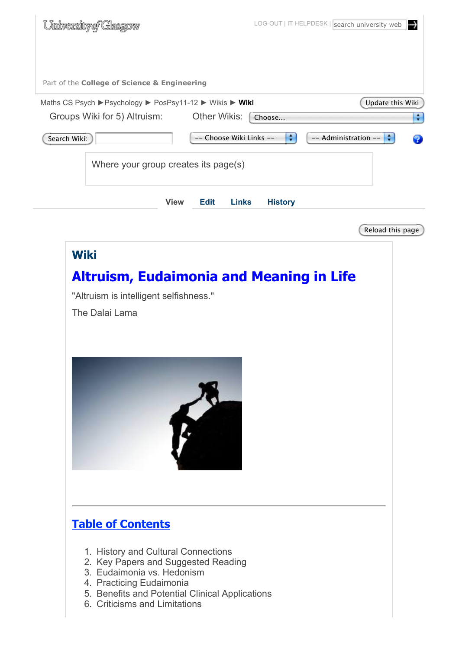| University of Glasgow                                                                                                                                                                                                                                |                                        | LOG-OUT   IT HELPDESK   search university web<br>↔ |
|------------------------------------------------------------------------------------------------------------------------------------------------------------------------------------------------------------------------------------------------------|----------------------------------------|----------------------------------------------------|
| Part of the College of Science & Engineering                                                                                                                                                                                                         |                                        |                                                    |
| Maths CS Psych ▶ Psychology ▶ PosPsy11-12 ▶ Wikis ▶ Wiki                                                                                                                                                                                             |                                        | Update this Wiki                                   |
| Groups Wiki for 5) Altruism: Other Wikis:                                                                                                                                                                                                            | Choose                                 | ÷                                                  |
| Search Wiki:                                                                                                                                                                                                                                         | -- Choose Wiki Links --                | $\div$<br>-- Administration --<br>÷<br>92          |
| Where your group creates its page(s)                                                                                                                                                                                                                 |                                        |                                                    |
| <b>View</b>                                                                                                                                                                                                                                          | <b>History</b><br>Edit<br><b>Links</b> |                                                    |
|                                                                                                                                                                                                                                                      |                                        | Reload this page                                   |
| <b>Wiki</b><br><b>Altruism, Eudaimonia and Meaning in Life</b><br>"Altruism is intelligent selfishness."<br>The Dalai Lama                                                                                                                           |                                        |                                                    |
| <b>Table of Contents</b><br>1. History and Cultural Connections<br>2. Key Papers and Suggested Reading<br>3. Eudaimonia vs. Hedonism<br>4. Practicing Eudaimonia<br>5. Benefits and Potential Clinical Applications<br>6. Criticisms and Limitations |                                        |                                                    |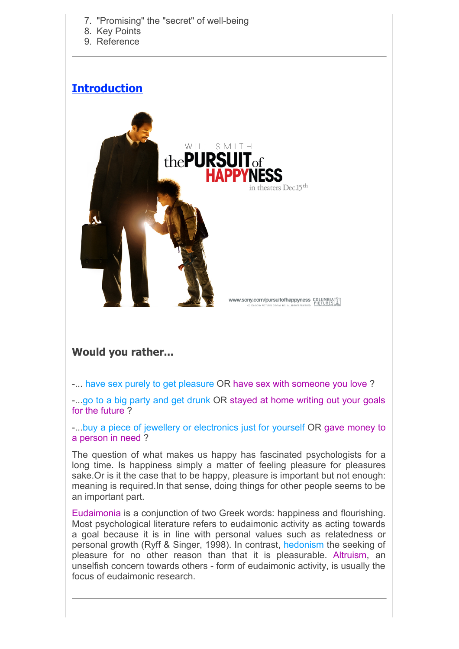- 7. "Promising" the "secret" of well-being
- 8. Key Points
- 9. Reference

### **Introduction**



### **Would you rather...**

-... have sex purely to get pleasure OR have sex with someone you love ?

-...go to a big party and get drunk OR stayed at home writing out your goals for the future ?

-...buy a piece of jewellery or electronics just for yourself OR gave money to a person in need ?

The question of what makes us happy has fascinated psychologists for a long time. Is happiness simply a matter of feeling pleasure for pleasures sake.Or is it the case that to be happy, pleasure is important but not enough: meaning is required.In that sense, doing things for other people seems to be an important part.

Eudaimonia is a conjunction of two Greek words: happiness and flourishing. Most psychological literature refers to eudaimonic activity as acting towards a goal because it is in line with personal values such as relatedness or personal growth (Ryff & Singer, 1998). In contrast, hedonism the seeking of pleasure for no other reason than that it is pleasurable. Altruism, an unselfish concern towards others - form of eudaimonic activity, is usually the focus of eudaimonic research.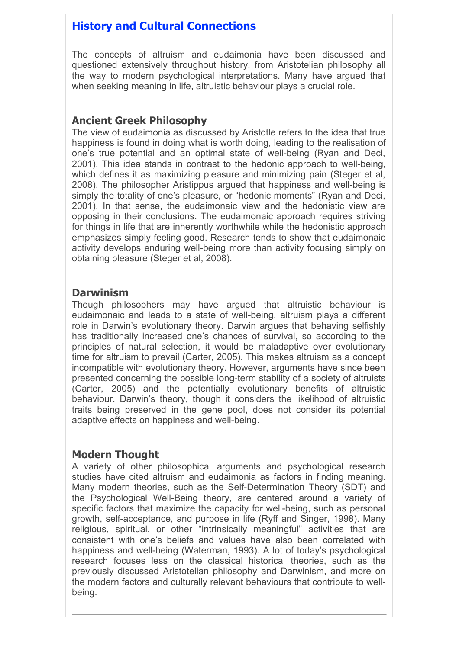# **History and Cultural Connections**

The concepts of altruism and eudaimonia have been discussed and questioned extensively throughout history, from Aristotelian philosophy all the way to modern psychological interpretations. Many have argued that when seeking meaning in life, altruistic behaviour plays a crucial role.

#### **Ancient Greek Philosophy**

The view of eudaimonia as discussed by Aristotle refers to the idea that true happiness is found in doing what is worth doing, leading to the realisation of one's true potential and an optimal state of well-being (Ryan and Deci, 2001). This idea stands in contrast to the hedonic approach to well-being, which defines it as maximizing pleasure and minimizing pain (Steger et al. 2008). The philosopher Aristippus argued that happiness and well-being is simply the totality of one's pleasure, or "hedonic moments" (Ryan and Deci, 2001). In that sense, the eudaimonaic view and the hedonistic view are opposing in their conclusions. The eudaimonaic approach requires striving for things in life that are inherently worthwhile while the hedonistic approach emphasizes simply feeling good. Research tends to show that eudaimonaic activity develops enduring well-being more than activity focusing simply on obtaining pleasure (Steger et al, 2008).

#### **Darwinism**

Though philosophers may have argued that altruistic behaviour is eudaimonaic and leads to a state of well-being, altruism plays a different role in Darwin's evolutionary theory. Darwin argues that behaving selfishly has traditionally increased one's chances of survival, so according to the principles of natural selection, it would be maladaptive over evolutionary time for altruism to prevail (Carter, 2005). This makes altruism as a concept incompatible with evolutionary theory. However, arguments have since been presented concerning the possible long-term stability of a society of altruists (Carter, 2005) and the potentially evolutionary benefits of altruistic behaviour. Darwin's theory, though it considers the likelihood of altruistic traits being preserved in the gene pool, does not consider its potential adaptive effects on happiness and well-being.

### **Modern Thought**

A variety of other philosophical arguments and psychological research studies have cited altruism and eudaimonia as factors in finding meaning. Many modern theories, such as the Self-Determination Theory (SDT) and the Psychological Well-Being theory, are centered around a variety of specific factors that maximize the capacity for well-being, such as personal growth, self-acceptance, and purpose in life (Ryff and Singer, 1998). Many religious, spiritual, or other "intrinsically meaningful" activities that are consistent with one's beliefs and values have also been correlated with happiness and well-being (Waterman, 1993). A lot of today's psychological research focuses less on the classical historical theories, such as the previously discussed Aristotelian philosophy and Darwinism, and more on the modern factors and culturally relevant behaviours that contribute to wellbeing.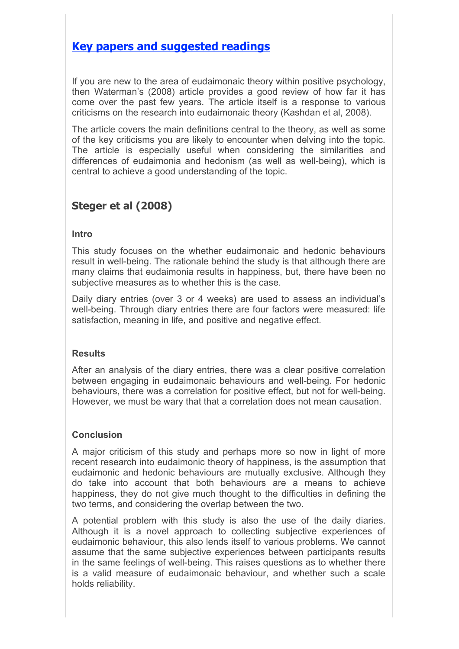### **Key papers and suggested readings**

If you are new to the area of eudaimonaic theory within positive psychology, then Waterman's (2008) article provides a good review of how far it has come over the past few years. The article itself is a response to various criticisms on the research into eudaimonaic theory (Kashdan et al, 2008).

The article covers the main definitions central to the theory, as well as some of the key criticisms you are likely to encounter when delving into the topic. The article is especially useful when considering the similarities and differences of eudaimonia and hedonism (as well as well-being), which is central to achieve a good understanding of the topic.

### **Steger et al (2008)**

#### **Intro**

This study focuses on the whether eudaimonaic and hedonic behaviours result in well-being. The rationale behind the study is that although there are many claims that eudaimonia results in happiness, but, there have been no subjective measures as to whether this is the case.

Daily diary entries (over 3 or 4 weeks) are used to assess an individual's well-being. Through diary entries there are four factors were measured: life satisfaction, meaning in life, and positive and negative effect.

#### **Results**

After an analysis of the diary entries, there was a clear positive correlation between engaging in eudaimonaic behaviours and well-being. For hedonic behaviours, there was a correlation for positive effect, but not for well-being. However, we must be wary that that a correlation does not mean causation.

#### **Conclusion**

A major criticism of this study and perhaps more so now in light of more recent research into eudaimonic theory of happiness, is the assumption that eudaimonic and hedonic behaviours are mutually exclusive. Although they do take into account that both behaviours are a means to achieve happiness, they do not give much thought to the difficulties in defining the two terms, and considering the overlap between the two.

A potential problem with this study is also the use of the daily diaries. Although it is a novel approach to collecting subjective experiences of eudaimonic behaviour, this also lends itself to various problems. We cannot assume that the same subjective experiences between participants results in the same feelings of well-being. This raises questions as to whether there is a valid measure of eudaimonaic behaviour, and whether such a scale holds reliability.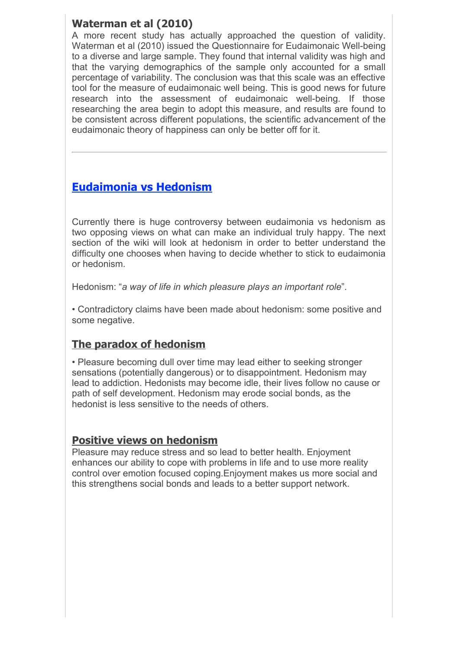### **Waterman et al (2010)**

A more recent study has actually approached the question of validity. Waterman et al (2010) issued the Questionnaire for Eudaimonaic Well-being to a diverse and large sample. They found that internal validity was high and that the varying demographics of the sample only accounted for a small percentage of variability. The conclusion was that this scale was an effective tool for the measure of eudaimonaic well being. This is good news for future research into the assessment of eudaimonaic well-being. If those researching the area begin to adopt this measure, and results are found to be consistent across different populations, the scientific advancement of the eudaimonaic theory of happiness can only be better off for it.

# **Eudaimonia vs Hedonism**

Currently there is huge controversy between eudaimonia vs hedonism as two opposing views on what can make an individual truly happy. The next section of the wiki will look at hedonism in order to better understand the difficulty one chooses when having to decide whether to stick to eudaimonia or hedonism.

Hedonism: "*a way of life in which pleasure plays an important role*".

• Contradictory claims have been made about hedonism: some positive and some negative.

## **The paradox of hedonism**

• Pleasure becoming dull over time may lead either to seeking stronger sensations (potentially dangerous) or to disappointment. Hedonism may lead to addiction. Hedonists may become idle, their lives follow no cause or path of self development. Hedonism may erode social bonds, as the hedonist is less sensitive to the needs of others.

#### **Positive views on hedonism**

Pleasure may reduce stress and so lead to better health. Enjoyment enhances our ability to cope with problems in life and to use more reality control over emotion focused coping.Enjoyment makes us more social and this strengthens social bonds and leads to a better support network.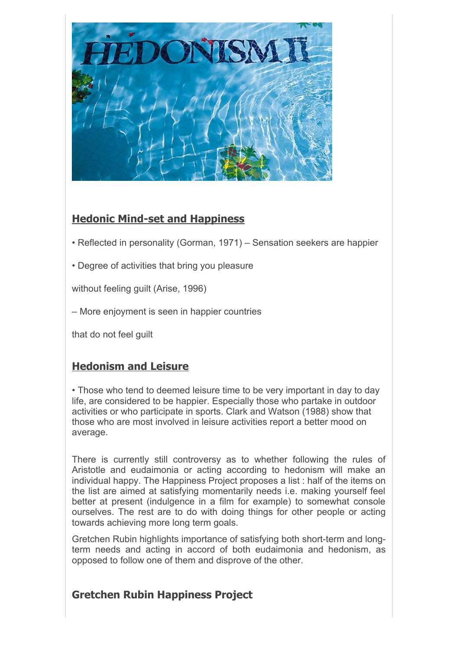

### **Hedonic Mind-set and Happiness**

- Reflected in personality (Gorman, 1971) Sensation seekers are happier
- Degree of activities that bring you pleasure

without feeling guilt (Arise, 1996)

– More enjoyment is seen in happier countries

that do not feel guilt

### **Hedonism and Leisure**

• Those who tend to deemed leisure time to be very important in day to day life, are considered to be happier. Especially those who partake in outdoor activities or who participate in sports. Clark and Watson (1988) show that those who are most involved in leisure activities report a better mood on average.

There is currently still controversy as to whether following the rules of Aristotle and eudaimonia or acting according to hedonism will make an individual happy. The Happiness Project proposes a list : half of the items on the list are aimed at satisfying momentarily needs i.e. making yourself feel better at present (indulgence in a film for example) to somewhat console ourselves. The rest are to do with doing things for other people or acting towards achieving more long term goals.

Gretchen Rubin highlights importance of satisfying both short-term and longterm needs and acting in accord of both eudaimonia and hedonism, as opposed to follow one of them and disprove of the other.

### **Gretchen Rubin Happiness Project**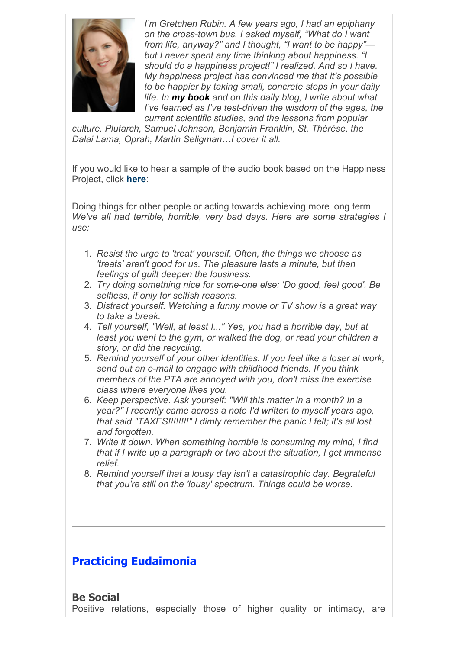

*I'm Gretchen Rubin. A few years ago, I had an epiphany on the cross-town bus. I asked myself, "What do I want from life, anyway?" and I thought, "I want to be happy" but I never spent any time thinking about happiness. "I should do a happiness project!" I realized. And so I have. My happiness project has convinced me that it's possible to be happier by taking small, concrete steps in your daily life. In my book and on this daily blog, I write about what I've learned as I've test-driven the wisdom of the ages, the current scientific studies, and the lessons from popular*

*culture. Plutarch, Samuel Johnson, Benjamin Franklin, St. Thérèse, the Dalai Lama, Oprah, Martin Seligman!I cover it all.*

If you would like to hear a sample of the audio book based on the Happiness Project, click **here**:

Doing things for other people or acting towards achieving more long term *We've all had terrible, horrible, very bad days. Here are some strategies I use:* 

- 1. *Resist the urge to 'treat' yourself. Often, the things we choose as 'treats' aren't good for us. The pleasure lasts a minute, but then feelings of guilt deepen the lousiness.*
- 2. *Try doing something nice for some-one else: 'Do good, feel good'. Be selfless, if only for selfish reasons.*
- 3. *Distract yourself. Watching a funny movie or TV show is a great way to take a break.*
- 4. *Tell yourself, "Well, at least I..." Yes, you had a horrible day, but at least you went to the gym, or walked the dog, or read your children a story, or did the recycling.*
- 5. *Remind yourself of your other identities. If you feel like a loser at work, send out an e-mail to engage with childhood friends. If you think members of the PTA are annoyed with you, don't miss the exercise class where everyone likes you.*
- 6. *Keep perspective. Ask yourself: "Will this matter in a month? In a year?" I recently came across a note I'd written to myself years ago, that said "TAXES!!!!!!!!" I dimly remember the panic I felt; it's all lost and forgotten.*
- 7. *Write it down. When something horrible is consuming my mind, I find that if I write up a paragraph or two about the situation, I get immense relief.*
- 8. *Remind yourself that a lousy day isn't a catastrophic day. Begrateful that you're still on the 'lousy' spectrum. Things could be worse.*

## **Practicing Eudaimonia**

#### **Be Social**

Positive relations, especially those of higher quality or intimacy, are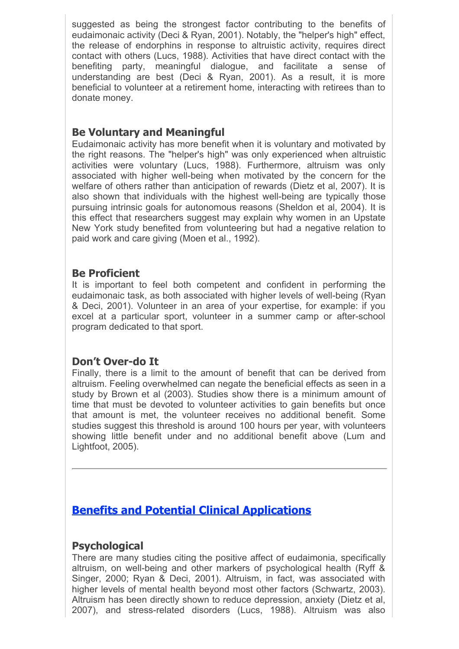suggested as being the strongest factor contributing to the benefits of eudaimonaic activity (Deci & Ryan, 2001). Notably, the "helper's high" effect, the release of endorphins in response to altruistic activity, requires direct contact with others (Lucs, 1988). Activities that have direct contact with the benefiting party, meaningful dialogue, and facilitate a sense of understanding are best (Deci & Ryan, 2001). As a result, it is more beneficial to volunteer at a retirement home, interacting with retirees than to donate money.

#### **Be Voluntary and Meaningful**

Eudaimonaic activity has more benefit when it is voluntary and motivated by the right reasons. The "helper's high" was only experienced when altruistic activities were voluntary (Lucs, 1988). Furthermore, altruism was only associated with higher well-being when motivated by the concern for the welfare of others rather than anticipation of rewards (Dietz et al, 2007). It is also shown that individuals with the highest well-being are typically those pursuing intrinsic goals for autonomous reasons (Sheldon et al, 2004). It is this effect that researchers suggest may explain why women in an Upstate New York study benefited from volunteering but had a negative relation to paid work and care giving (Moen et al., 1992).

#### **Be Proficient**

It is important to feel both competent and confident in performing the eudaimonaic task, as both associated with higher levels of well-being (Ryan & Deci, 2001). Volunteer in an area of your expertise, for example: if you excel at a particular sport, volunteer in a summer camp or after-school program dedicated to that sport.

#### **Don't Over-do It**

Finally, there is a limit to the amount of benefit that can be derived from altruism. Feeling overwhelmed can negate the beneficial effects as seen in a study by Brown et al (2003). Studies show there is a minimum amount of time that must be devoted to volunteer activities to gain benefits but once that amount is met, the volunteer receives no additional benefit. Some studies suggest this threshold is around 100 hours per year, with volunteers showing little benefit under and no additional benefit above (Lum and Lightfoot, 2005).

### **Benefits and Potential Clinical Applications**

#### **Psychological**

There are many studies citing the positive affect of eudaimonia, specifically altruism, on well-being and other markers of psychological health (Ryff & Singer, 2000; Ryan & Deci, 2001). Altruism, in fact, was associated with higher levels of mental health beyond most other factors (Schwartz, 2003). Altruism has been directly shown to reduce depression, anxiety (Dietz et al, 2007), and stress-related disorders (Lucs, 1988). Altruism was also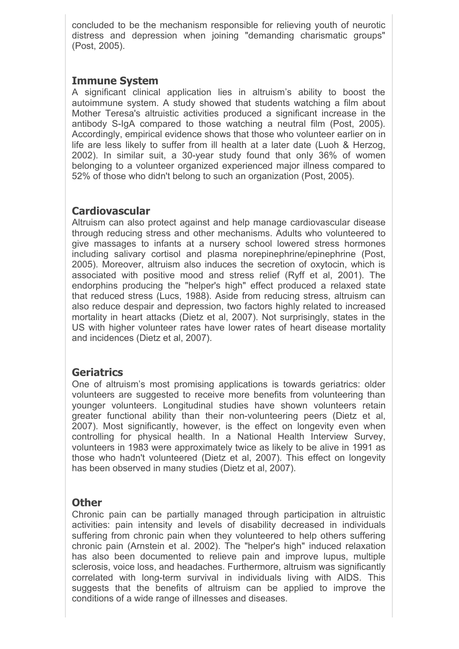concluded to be the mechanism responsible for relieving youth of neurotic distress and depression when joining "demanding charismatic groups" (Post, 2005).

#### **Immune System**

A significant clinical application lies in altruism's ability to boost the autoimmune system. A study showed that students watching a film about Mother Teresa's altruistic activities produced a significant increase in the antibody S-IgA compared to those watching a neutral film (Post, 2005). Accordingly, empirical evidence shows that those who volunteer earlier on in life are less likely to suffer from ill health at a later date (Luoh & Herzog, 2002). In similar suit, a 30-year study found that only 36% of women belonging to a volunteer organized experienced major illness compared to 52% of those who didn't belong to such an organization (Post, 2005).

#### **Cardiovascular**

Altruism can also protect against and help manage cardiovascular disease through reducing stress and other mechanisms. Adults who volunteered to give massages to infants at a nursery school lowered stress hormones including salivary cortisol and plasma norepinephrine/epinephrine (Post, 2005). Moreover, altruism also induces the secretion of oxytocin, which is associated with positive mood and stress relief (Ryff et al, 2001). The endorphins producing the "helper's high" effect produced a relaxed state that reduced stress (Lucs, 1988). Aside from reducing stress, altruism can also reduce despair and depression, two factors highly related to increased mortality in heart attacks (Dietz et al, 2007). Not surprisingly, states in the US with higher volunteer rates have lower rates of heart disease mortality and incidences (Dietz et al, 2007).

#### **Geriatrics**

One of altruism's most promising applications is towards geriatrics: older volunteers are suggested to receive more benefits from volunteering than younger volunteers. Longitudinal studies have shown volunteers retain greater functional ability than their non-volunteering peers (Dietz et al, 2007). Most significantly, however, is the effect on longevity even when controlling for physical health. In a National Health Interview Survey, volunteers in 1983 were approximately twice as likely to be alive in 1991 as those who hadn't volunteered (Dietz et al, 2007). This effect on longevity has been observed in many studies (Dietz et al, 2007).

#### **Other**

Chronic pain can be partially managed through participation in altruistic activities: pain intensity and levels of disability decreased in individuals suffering from chronic pain when they volunteered to help others suffering chronic pain (Arnstein et al. 2002). The "helper's high" induced relaxation has also been documented to relieve pain and improve lupus, multiple sclerosis, voice loss, and headaches. Furthermore, altruism was significantly correlated with long-term survival in individuals living with AIDS. This suggests that the benefits of altruism can be applied to improve the conditions of a wide range of illnesses and diseases.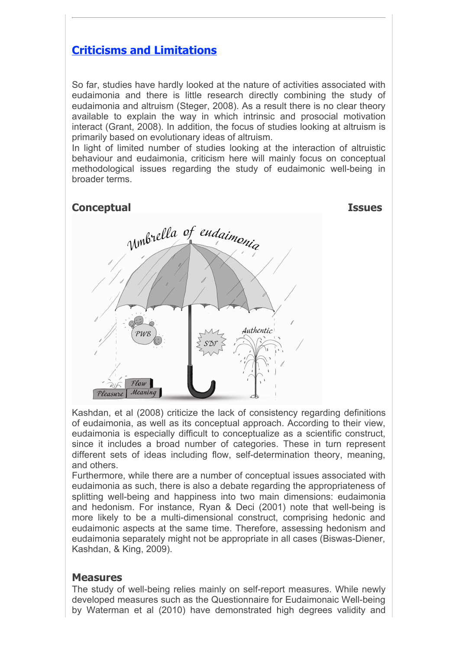### **Criticisms and Limitations**

So far, studies have hardly looked at the nature of activities associated with eudaimonia and there is little research directly combining the study of eudaimonia and altruism (Steger, 2008). As a result there is no clear theory available to explain the way in which intrinsic and prosocial motivation interact (Grant, 2008). In addition, the focus of studies looking at altruism is primarily based on evolutionary ideas of altruism.

In light of limited number of studies looking at the interaction of altruistic behaviour and eudaimonia, criticism here will mainly focus on conceptual methodological issues regarding the study of eudaimonic well-being in broader terms.



Kashdan, et al (2008) criticize the lack of consistency regarding definitions of eudaimonia, as well as its conceptual approach. According to their view, eudaimonia is especially difficult to conceptualize as a scientific construct, since it includes a broad number of categories. These in turn represent different sets of ideas including flow, self-determination theory, meaning, and others.

Furthermore, while there are a number of conceptual issues associated with eudaimonia as such, there is also a debate regarding the appropriateness of splitting well-being and happiness into two main dimensions: eudaimonia and hedonism. For instance, Ryan & Deci (2001) note that well-being is more likely to be a multi-dimensional construct, comprising hedonic and eudaimonic aspects at the same time. Therefore, assessing hedonism and eudaimonia separately might not be appropriate in all cases (Biswas-Diener, Kashdan, & King, 2009).

#### **Measures**

The study of well-being relies mainly on self-report measures. While newly developed measures such as the Questionnaire for Eudaimonaic Well-being by Waterman et al (2010) have demonstrated high degrees validity and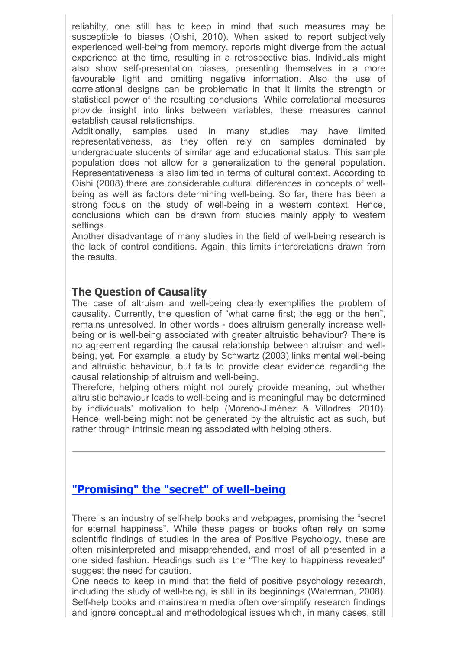reliabilty, one still has to keep in mind that such measures may be susceptible to biases (Oishi, 2010). When asked to report subjectively experienced well-being from memory, reports might diverge from the actual experience at the time, resulting in a retrospective bias. Individuals might also show self-presentation biases, presenting themselves in a more favourable light and omitting negative information. Also the use of correlational designs can be problematic in that it limits the strength or statistical power of the resulting conclusions. While correlational measures provide insight into links between variables, these measures cannot establish causal relationships.

Additionally, samples used in many studies may have limited representativeness, as they often rely on samples dominated by undergraduate students of similar age and educational status. This sample population does not allow for a generalization to the general population. Representativeness is also limited in terms of cultural context. According to Oishi (2008) there are considerable cultural differences in concepts of wellbeing as well as factors determining well-being. So far, there has been a strong focus on the study of well-being in a western context. Hence, conclusions which can be drawn from studies mainly apply to western settings.

Another disadvantage of many studies in the field of well-being research is the lack of control conditions. Again, this limits interpretations drawn from the results.

#### **The Question of Causality**

The case of altruism and well-being clearly exemplifies the problem of causality. Currently, the question of "what came first; the egg or the hen", remains unresolved. In other words - does altruism generally increase wellbeing or is well-being associated with greater altruistic behaviour? There is no agreement regarding the causal relationship between altruism and wellbeing, yet. For example, a study by Schwartz (2003) links mental well-being and altruistic behaviour, but fails to provide clear evidence regarding the causal relationship of altruism and well-being.

Therefore, helping others might not purely provide meaning, but whether altruistic behaviour leads to well-being and is meaningful may be determined by individuals' motivation to help (Moreno-Jiménez & Villodres, 2010). Hence, well-being might not be generated by the altruistic act as such, but rather through intrinsic meaning associated with helping others.

## **"Promising" the "secret" of well-being**

There is an industry of self-help books and webpages, promising the "secret for eternal happiness". While these pages or books often rely on some scientific findings of studies in the area of Positive Psychology, these are often misinterpreted and misapprehended, and most of all presented in a one sided fashion. Headings such as the "The key to happiness revealed" suggest the need for caution.

One needs to keep in mind that the field of positive psychology research, including the study of well-being, is still in its beginnings (Waterman, 2008). Self-help books and mainstream media often oversimplify research findings and ignore conceptual and methodological issues which, in many cases, still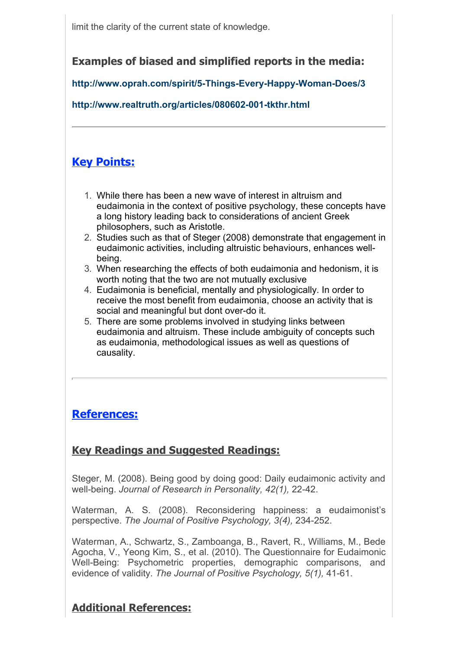limit the clarity of the current state of knowledge.

### **Examples of biased and simplified reports in the media:**

**http://www.oprah.com/spirit/5-Things-Every-Happy-Woman-Does/3** 

**http://www.realtruth.org/articles/080602-001-tkthr.html**

# **Key Points:**

- 1. While there has been a new wave of interest in altruism and eudaimonia in the context of positive psychology, these concepts have a long history leading back to considerations of ancient Greek philosophers, such as Aristotle.
- 2. Studies such as that of Steger (2008) demonstrate that engagement in eudaimonic activities, including altruistic behaviours, enhances wellbeing.
- 3. When researching the effects of both eudaimonia and hedonism, it is worth noting that the two are not mutually exclusive
- 4. Eudaimonia is beneficial, mentally and physiologically. In order to receive the most benefit from eudaimonia, choose an activity that is social and meaningful but dont over-do it.
- 5. There are some problems involved in studying links between eudaimonia and altruism. These include ambiguity of concepts such as eudaimonia, methodological issues as well as questions of causality.

## **References:**

## **Key Readings and Suggested Readings:**

Steger, M. (2008). Being good by doing good: Daily eudaimonic activity and well-being. *Journal of Research in Personality, 42(1),* 22-42.

Waterman, A. S. (2008). Reconsidering happiness: a eudaimonist's perspective. *The Journal of Positive Psychology, 3(4),* 234-252.

Waterman, A., Schwartz, S., Zamboanga, B., Ravert, R., Williams, M., Bede Agocha, V., Yeong Kim, S., et al. (2010). The Questionnaire for Eudaimonic Well-Being: Psychometric properties, demographic comparisons, and evidence of validity. *The Journal of Positive Psychology, 5(1),* 41-61.

**Additional References:**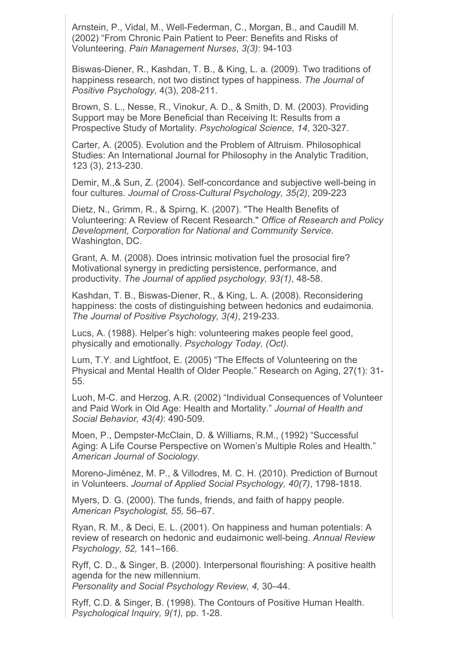Arnstein, P., Vidal, M., Well-Federman, C., Morgan, B., and Caudill M. (2002) "From Chronic Pain Patient to Peer: Benefits and Risks of Volunteering. *Pain Management Nurses*, *3(3)*: 94-103

Biswas-Diener, R., Kashdan, T. B., & King, L. a. (2009). Two traditions of happiness research, not two distinct types of happiness. *The Journal of Positive Psychology*, 4(3), 208-211.

Brown, S. L., Nesse, R., Vinokur, A. D., & Smith, D. M. (2003). Providing Support may be More Beneficial than Receiving It: Results from a Prospective Study of Mortality. *Psychological Science, 14*, 320-327.

Carter, A. (2005). Evolution and the Problem of Altruism. Philosophical Studies: An International Journal for Philosophy in the Analytic Tradition, 123 (3), 213-230.

Demir, M.,& Sun, Z. (2004). Self-concordance and subjective well-being in four cultures. *Journal of Cross-Cultural Psychology, 35(2)*, 209-223

Dietz, N., Grimm, R., & Spirng, K. (2007). "The Health Benefits of Volunteering: A Review of Recent Research." *Office of Research and Policy Development, Corporation for National and Community Service*. Washington, DC.

Grant, A. M. (2008). Does intrinsic motivation fuel the prosocial fire? Motivational synergy in predicting persistence, performance, and productivity. *The Journal of applied psychology, 93(1)*, 48-58.

Kashdan, T. B., Biswas-Diener, R., & King, L. A. (2008). Reconsidering happiness: the costs of distinguishing between hedonics and eudaimonia. *The Journal of Positive Psychology, 3(4)*, 219-233.

Lucs, A. (1988). Helper's high: volunteering makes people feel good, physically and emotionally. *Psychology Today, (Oct)*.

Lum, T.Y. and Lightfoot, E. (2005) "The Effects of Volunteering on the Physical and Mental Health of Older People." Research on Aging, 27(1): 31- 55.

Luoh, M-C. and Herzog, A.R. (2002) "Individual Consequences of Volunteer and Paid Work in Old Age: Health and Mortality." *Journal of Health and Social Behavior, 43(4)*: 490-509.

Moen, P., Dempster-McClain, D. & Williams, R.M., (1992) "Successful Aging: A Life Course Perspective on Women's Multiple Roles and Health." *American Journal of Sociology.*

Moreno-Jiménez, M. P., & Villodres, M. C. H. (2010). Prediction of Burnout in Volunteers. *Journal of Applied Social Psychology, 40(7)*, 1798-1818.

Myers, D. G. (2000). The funds, friends, and faith of happy people. *American Psychologist, 55,* 56–67.

Ryan, R. M., & Deci, E. L. (2001). On happiness and human potentials: A review of research on hedonic and eudaimonic well-being. *Annual Review Psychology, 52,* 141–166.

Ryff, C. D., & Singer, B. (2000). Interpersonal flourishing: A positive health agenda for the new millennium.

*Personality and Social Psychology Review, 4,* 30–44.

Ryff, C.D. & Singer, B. (1998). The Contours of Positive Human Health. *Psychological Inquiry, 9(1),* pp. 1-28.